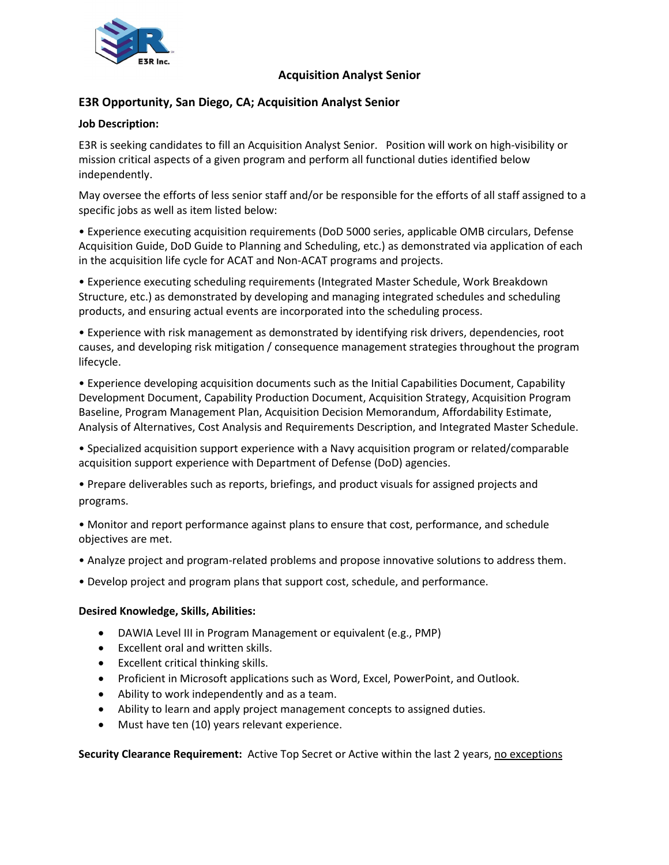

### **Acquisition Analyst Senior**

# **E3R Opportunity, San Diego, CA; Acquisition Analyst Senior**

### **Job Description:**

E3R is seeking candidates to fill an Acquisition Analyst Senior. Position will work on high-visibility or mission critical aspects of a given program and perform all functional duties identified below independently.

May oversee the efforts of less senior staff and/or be responsible for the efforts of all staff assigned to a specific jobs as well as item listed below:

• Experience executing acquisition requirements (DoD 5000 series, applicable OMB circulars, Defense Acquisition Guide, DoD Guide to Planning and Scheduling, etc.) as demonstrated via application of each in the acquisition life cycle for ACAT and Non-ACAT programs and projects.

• Experience executing scheduling requirements (Integrated Master Schedule, Work Breakdown Structure, etc.) as demonstrated by developing and managing integrated schedules and scheduling products, and ensuring actual events are incorporated into the scheduling process.

• Experience with risk management as demonstrated by identifying risk drivers, dependencies, root causes, and developing risk mitigation / consequence management strategies throughout the program lifecycle.

• Experience developing acquisition documents such as the Initial Capabilities Document, Capability Development Document, Capability Production Document, Acquisition Strategy, Acquisition Program Baseline, Program Management Plan, Acquisition Decision Memorandum, Affordability Estimate, Analysis of Alternatives, Cost Analysis and Requirements Description, and Integrated Master Schedule.

- Specialized acquisition support experience with a Navy acquisition program or related/comparable acquisition support experience with Department of Defense (DoD) agencies.
- Prepare deliverables such as reports, briefings, and product visuals for assigned projects and programs.
- Monitor and report performance against plans to ensure that cost, performance, and schedule objectives are met.
- Analyze project and program-related problems and propose innovative solutions to address them.
- Develop project and program plans that support cost, schedule, and performance.

### **Desired Knowledge, Skills, Abilities:**

- DAWIA Level III in Program Management or equivalent (e.g., PMP)
- Excellent oral and written skills.
- Excellent critical thinking skills.
- Proficient in Microsoft applications such as Word, Excel, PowerPoint, and Outlook.
- Ability to work independently and as a team.
- Ability to learn and apply project management concepts to assigned duties.
- Must have ten (10) years relevant experience.

**Security Clearance Requirement:** Active Top Secret or Active within the last 2 years, no exceptions